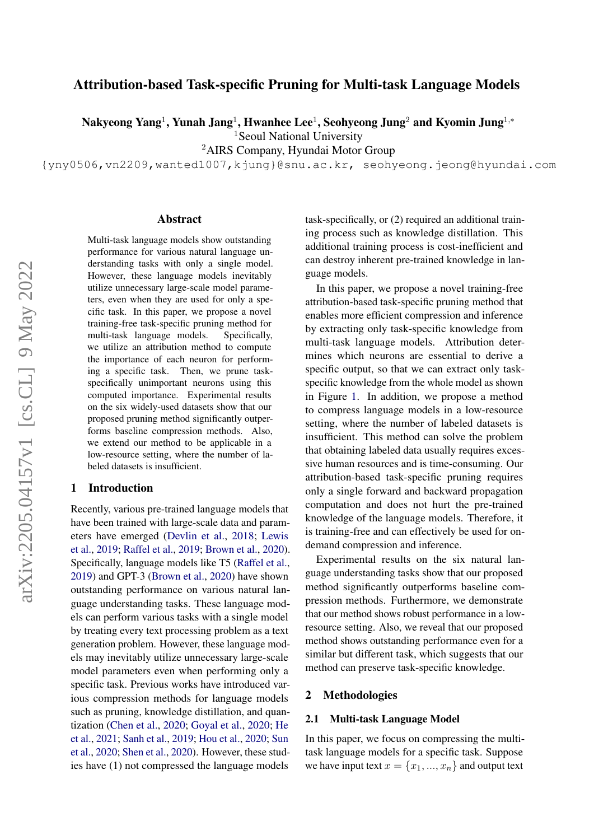# Attribution-based Task-specific Pruning for Multi-task Language Models

Nakyeong Yang $^1$ , Yunah Jang $^1$ , Hwanhee Lee $^1$ , Seohyeong Jung $^2$  and Kyomin Jung $^{1,\ast}$ 

<sup>1</sup>Seoul National University

<sup>2</sup>AIRS Company, Hyundai Motor Group

{yny0506,vn2209,wanted1007,kjung}@snu.ac.kr, seohyeong.jeong@hyundai.com

#### Abstract

Multi-task language models show outstanding performance for various natural language understanding tasks with only a single model. However, these language models inevitably utilize unnecessary large-scale model parameters, even when they are used for only a specific task. In this paper, we propose a novel training-free task-specific pruning method for multi-task language models. Specifically, we utilize an attribution method to compute the importance of each neuron for performing a specific task. Then, we prune taskspecifically unimportant neurons using this computed importance. Experimental results on the six widely-used datasets show that our proposed pruning method significantly outperforms baseline compression methods. Also, we extend our method to be applicable in a low-resource setting, where the number of labeled datasets is insufficient.

### 1 Introduction

Recently, various pre-trained language models that have been trained with large-scale data and parameters have emerged [\(Devlin et al.,](#page-4-0) [2018;](#page-4-0) [Lewis](#page-4-1) [et al.,](#page-4-1) [2019;](#page-4-1) [Raffel et al.,](#page-4-2) [2019;](#page-4-2) [Brown et al.,](#page-4-3) [2020\)](#page-4-3). Specifically, language models like T5 [\(Raffel et al.,](#page-4-2) [2019\)](#page-4-2) and GPT-3 [\(Brown et al.,](#page-4-3) [2020\)](#page-4-3) have shown outstanding performance on various natural language understanding tasks. These language models can perform various tasks with a single model by treating every text processing problem as a text generation problem. However, these language models may inevitably utilize unnecessary large-scale model parameters even when performing only a specific task. Previous works have introduced various compression methods for language models such as pruning, knowledge distillation, and quantization [\(Chen et al.,](#page-4-4) [2020;](#page-4-4) [Goyal et al.,](#page-4-5) [2020;](#page-4-5) [He](#page-4-6) [et al.,](#page-4-6) [2021;](#page-4-6) [Sanh et al.,](#page-4-7) [2019;](#page-4-7) [Hou et al.,](#page-4-8) [2020;](#page-4-8) [Sun](#page-4-9) [et al.,](#page-4-9) [2020;](#page-4-9) [Shen et al.,](#page-4-10) [2020\)](#page-4-10). However, these studies have (1) not compressed the language models

task-specifically, or (2) required an additional training process such as knowledge distillation. This additional training process is cost-inefficient and can destroy inherent pre-trained knowledge in language models.

In this paper, we propose a novel training-free attribution-based task-specific pruning method that enables more efficient compression and inference by extracting only task-specific knowledge from multi-task language models. Attribution determines which neurons are essential to derive a specific output, so that we can extract only taskspecific knowledge from the whole model as shown in Figure [1.](#page-1-0) In addition, we propose a method to compress language models in a low-resource setting, where the number of labeled datasets is insufficient. This method can solve the problem that obtaining labeled data usually requires excessive human resources and is time-consuming. Our attribution-based task-specific pruning requires only a single forward and backward propagation computation and does not hurt the pre-trained knowledge of the language models. Therefore, it is training-free and can effectively be used for ondemand compression and inference.

Experimental results on the six natural language understanding tasks show that our proposed method significantly outperforms baseline compression methods. Furthermore, we demonstrate that our method shows robust performance in a lowresource setting. Also, we reveal that our proposed method shows outstanding performance even for a similar but different task, which suggests that our method can preserve task-specific knowledge.

#### 2 Methodologies

#### 2.1 Multi-task Language Model

In this paper, we focus on compressing the multitask language models for a specific task. Suppose we have input text  $x = \{x_1, ..., x_n\}$  and output text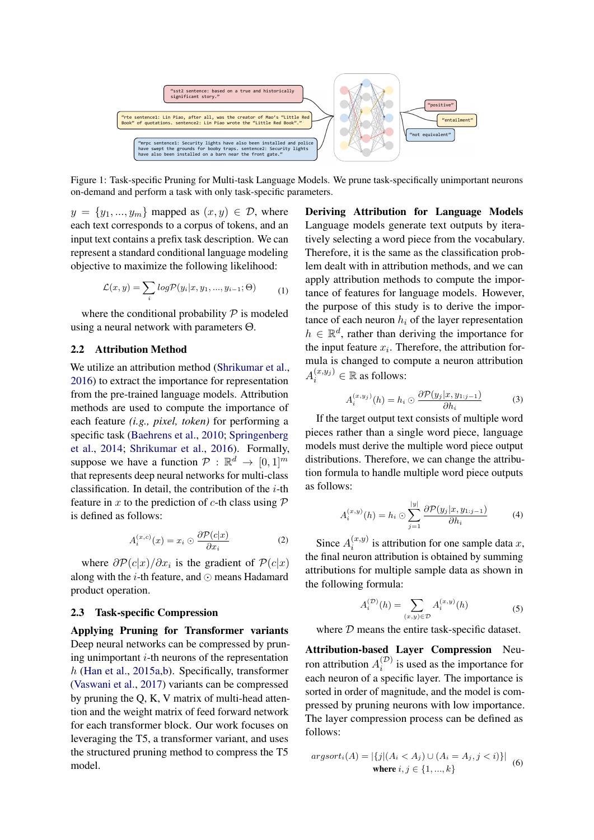<span id="page-1-0"></span>

Figure 1: Task-specific Pruning for Multi-task Language Models. We prune task-specifically unimportant neurons on-demand and perform a task with only task-specific parameters.

 $y = \{y_1, ..., y_m\}$  mapped as  $(x, y) \in \mathcal{D}$ , where each text corresponds to a corpus of tokens, and an input text contains a prefix task description. We can represent a standard conditional language modeling objective to maximize the following likelihood:

$$
\mathcal{L}(x,y) = \sum_{i} log \mathcal{P}(y_i|x, y_1, ..., y_{i-1}; \Theta)
$$
 (1)

where the conditional probability  $P$  is modeled using a neural network with parameters Θ.

#### 2.2 Attribution Method

We utilize an attribution method [\(Shrikumar et al.,](#page-4-11) [2016\)](#page-4-11) to extract the importance for representation from the pre-trained language models. Attribution methods are used to compute the importance of each feature *(i.g., pixel, token)* for performing a specific task [\(Baehrens et al.,](#page-4-12) [2010;](#page-4-12) [Springenberg](#page-4-13) [et al.,](#page-4-13) [2014;](#page-4-13) [Shrikumar et al.,](#page-4-11) [2016\)](#page-4-11). Formally, suppose we have a function  $P : \mathbb{R}^d \to [0,1]^m$ that represents deep neural networks for multi-class classification. In detail, the contribution of the  $i$ -th feature in x to the prediction of c-th class using  $P$ is defined as follows:

$$
A_i^{(x,c)}(x) = x_i \odot \frac{\partial \mathcal{P}(c|x)}{\partial x_i}
$$
 (2)

where  $\partial \mathcal{P}(c|x)/\partial x_i$  is the gradient of  $\mathcal{P}(c|x)$ along with the  $i$ -th feature, and  $\odot$  means Hadamard product operation.

#### 2.3 Task-specific Compression

Applying Pruning for Transformer variants Deep neural networks can be compressed by pruning unimportant  $i$ -th neurons of the representation  $h$  [\(Han et al.,](#page-4-14) [2015a](#page-4-14)[,b\)](#page-4-15). Specifically, transformer [\(Vaswani et al.,](#page-4-16) [2017\)](#page-4-16) variants can be compressed by pruning the Q, K, V matrix of multi-head attention and the weight matrix of feed forward network for each transformer block. Our work focuses on leveraging the T5, a transformer variant, and uses the structured pruning method to compress the T5 model.

Deriving Attribution for Language Models Language models generate text outputs by iteratively selecting a word piece from the vocabulary. Therefore, it is the same as the classification problem dealt with in attribution methods, and we can apply attribution methods to compute the importance of features for language models. However, the purpose of this study is to derive the importance of each neuron  $h_i$  of the layer representation  $h \in \mathbb{R}^d$ , rather than deriving the importance for the input feature  $x_i$ . Therefore, the attribution formula is changed to compute a neuron attribution  $A_i^{(x,y_j)} \in \mathbb{R}$  as follows:

$$
A_i^{(x,y_j)}(h) = h_i \odot \frac{\partial \mathcal{P}(y_j | x, y_{1:j-1})}{\partial h_i} \tag{3}
$$

If the target output text consists of multiple word pieces rather than a single word piece, language models must derive the multiple word piece output distributions. Therefore, we can change the attribution formula to handle multiple word piece outputs as follows:

$$
A_i^{(x,y)}(h) = h_i \odot \sum_{j=1}^{|y|} \frac{\partial \mathcal{P}(y_j | x, y_{1:j-1})}{\partial h_i} \tag{4}
$$

Since  $A_i^{(x,y)}$  $i^{(x,y)}$  is attribution for one sample data x, the final neuron attribution is obtained by summing attributions for multiple sample data as shown in the following formula:

$$
A_i^{(\mathcal{D})}(h) = \sum_{(x,y)\in\mathcal{D}} A_i^{(x,y)}(h)
$$
 (5)

where  $D$  means the entire task-specific dataset.

Attribution-based Layer Compression Neuron attribution  $A_i^{(\mathcal{D})}$  $i^{(D)}$  is used as the importance for each neuron of a specific layer. The importance is sorted in order of magnitude, and the model is compressed by pruning neurons with low importance. The layer compression process can be defined as follows:

$$
argsort_i(A) = |\{j | (A_i < A_j) \cup (A_i = A_j, j < i)\}|
$$
\nwhere

\n
$$
i, j \in \{1, \ldots, k\}
$$
\n(6)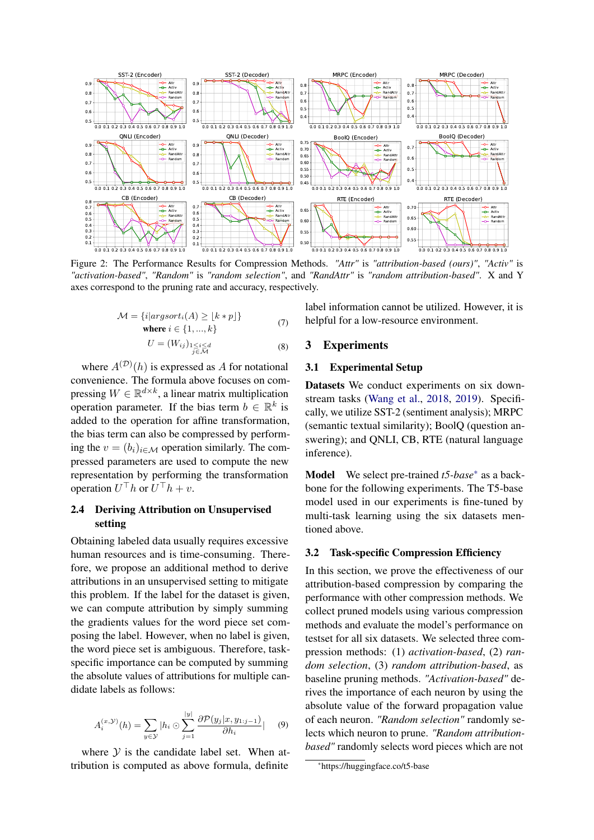<span id="page-2-1"></span>

Figure 2: The Performance Results for Compression Methods. *"Attr"* is *"attribution-based (ours)"*, *"Activ"* is *"activation-based"*, *"Random"* is *"random selection"*, and *"RandAttr"* is *"random attribution-based"*. X and Y axes correspond to the pruning rate and accuracy, respectively.

$$
\mathcal{M} = \{i|argsort_i(A) \ge \lfloor k * p \rfloor\}
$$
  
where  $i \in \{1, ..., k\}$  (7)

$$
U = (W_{ij})_{\substack{1 \le i \le d \\ j \in \mathcal{M}}} \tag{8}
$$

where  $A^{(D)}(h)$  is expressed as A for notational convenience. The formula above focuses on compressing  $W \in \mathbb{R}^{d \times k}$ , a linear matrix multiplication operation parameter. If the bias term  $b \in \mathbb{R}^k$  is added to the operation for affine transformation, the bias term can also be compressed by performing the  $v = (b_i)_{i \in \mathcal{M}}$  operation similarly. The compressed parameters are used to compute the new representation by performing the transformation operation  $U^{\top}h$  or  $U^{\top}h + v$ .

## 2.4 Deriving Attribution on Unsupervised setting

Obtaining labeled data usually requires excessive human resources and is time-consuming. Therefore, we propose an additional method to derive attributions in an unsupervised setting to mitigate this problem. If the label for the dataset is given, we can compute attribution by simply summing the gradients values for the word piece set composing the label. However, when no label is given, the word piece set is ambiguous. Therefore, taskspecific importance can be computed by summing the absolute values of attributions for multiple candidate labels as follows:

$$
A_i^{(x,\mathcal{Y})}(h) = \sum_{y \in \mathcal{Y}} |h_i \odot \sum_{j=1}^{|y|} \frac{\partial \mathcal{P}(y_j | x, y_{1:j-1})}{\partial h_i}| \qquad (9)
$$

where  $Y$  is the candidate label set. When attribution is computed as above formula, definite

label information cannot be utilized. However, it is helpful for a low-resource environment.

## 3 Experiments

### 3.1 Experimental Setup

Datasets We conduct experiments on six downstream tasks [\(Wang et al.,](#page-4-17) [2018,](#page-4-17) [2019\)](#page-4-18). Specifically, we utilize SST-2 (sentiment analysis); MRPC (semantic textual similarity); BoolQ (question answering); and QNLI, CB, RTE (natural language inference).

Model We select pre-trained *t5-base*[\\*](#page-2-0) as a backbone for the following experiments. The T5-base model used in our experiments is fine-tuned by multi-task learning using the six datasets mentioned above.

### 3.2 Task-specific Compression Efficiency

In this section, we prove the effectiveness of our attribution-based compression by comparing the performance with other compression methods. We collect pruned models using various compression methods and evaluate the model's performance on testset for all six datasets. We selected three compression methods: (1) *activation-based*, (2) *random selection*, (3) *random attribution-based*, as baseline pruning methods. *"Activation-based"* derives the importance of each neuron by using the absolute value of the forward propagation value of each neuron. *"Random selection"* randomly selects which neuron to prune. *"Random attributionbased"* randomly selects word pieces which are not

<span id="page-2-0"></span><sup>\*</sup>https://huggingface.co/t5-base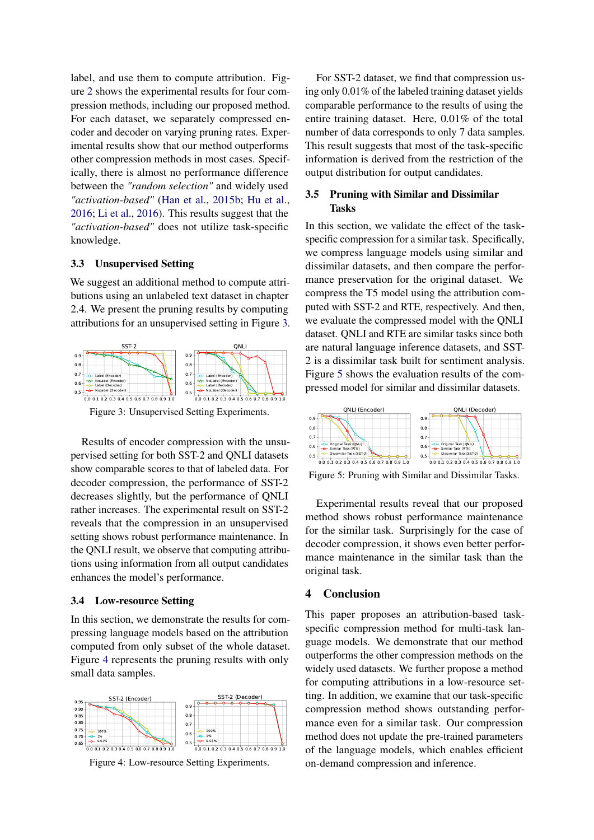label, and use them to compute attribution. Figure [2](#page-2-1) shows the experimental results for four compression methods, including our proposed method. For each dataset, we separately compressed encoder and decoder on varying pruning rates. Experimental results show that our method outperforms other compression methods in most cases. Specifically, there is almost no performance difference between the *"random selection"* and widely used *"activation-based"* [\(Han et al.,](#page-4-15) [2015b;](#page-4-15) [Hu et al.,](#page-4-19) [2016;](#page-4-19) [Li et al.,](#page-4-20) [2016\)](#page-4-20). This results suggest that the *"activation-based"* does not utilize task-specific knowledge.

### 3.3 Unsupervised Setting

We suggest an additional method to compute attributions using an unlabeled text dataset in chapter 2.4. We present the pruning results by computing attributions for an unsupervised setting in Figure [3.](#page-3-0)

<span id="page-3-0"></span>

Figure 3: Unsupervised Setting Experiments.

Results of encoder compression with the unsupervised setting for both SST-2 and QNLI datasets show comparable scores to that of labeled data. For decoder compression, the performance of SST-2 decreases slightly, but the performance of QNLI rather increases. The experimental result on SST-2 reveals that the compression in an unsupervised setting shows robust performance maintenance. In the QNLI result, we observe that computing attributions using information from all output candidates enhances the model's performance.

### 3.4 Low-resource Setting

In this section, we demonstrate the results for compressing language models based on the attribution computed from only subset of the whole dataset. Figure [4](#page-3-1) represents the pruning results with only small data samples.

<span id="page-3-1"></span>

Figure 4: Low-resource Setting Experiments.

For SST-2 dataset, we find that compression using only 0.01% of the labeled training dataset yields comparable performance to the results of using the entire training dataset. Here, 0.01% of the total number of data corresponds to only 7 data samples. This result suggests that most of the task-specific information is derived from the restriction of the output distribution for output candidates.

### 3.5 Pruning with Similar and Dissimilar Tasks

In this section, we validate the effect of the taskspecific compression for a similar task. Specifically, we compress language models using similar and dissimilar datasets, and then compare the performance preservation for the original dataset. We compress the T5 model using the attribution computed with SST-2 and RTE, respectively. And then, we evaluate the compressed model with the QNLI dataset. QNLI and RTE are similar tasks since both are natural language inference datasets, and SST-2 is a dissimilar task built for sentiment analysis. Figure [5](#page-3-2) shows the evaluation results of the compressed model for similar and dissimilar datasets.

<span id="page-3-2"></span>

Figure 5: Pruning with Similar and Dissimilar Tasks.

Experimental results reveal that our proposed method shows robust performance maintenance for the similar task. Surprisingly for the case of decoder compression, it shows even better performance maintenance in the similar task than the original task.

## 4 Conclusion

This paper proposes an attribution-based taskspecific compression method for multi-task language models. We demonstrate that our method outperforms the other compression methods on the widely used datasets. We further propose a method for computing attributions in a low-resource setting. In addition, we examine that our task-specific compression method shows outstanding performance even for a similar task. Our compression method does not update the pre-trained parameters of the language models, which enables efficient on-demand compression and inference.